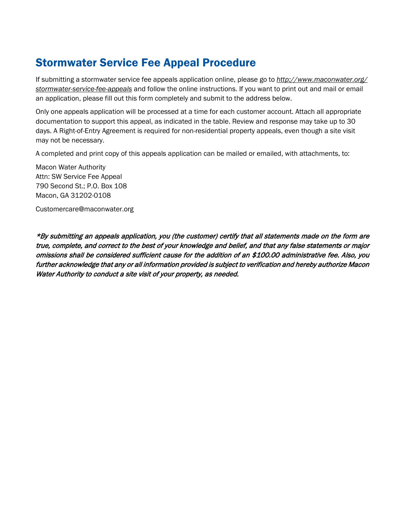### Stormwater Service Fee Appeal Procedure

If submitting a stormwater service fee appeals application online, please go to *<http://www.maconwater.org/> stormwater-service-fee-appeals* and follow the online instructions. If you want to print out and mail or email an application, please fill out this form completely and submit to the address below.

Only one appeals application will be processed at a time for each customer account. Attach all appropriate documentation to support this appeal, as indicated in the table. Review and response may take up to 30 days. A Right-of-Entry Agreement is required for non-residential property appeals, even though a site visit may not be necessary.

A completed and print copy of this appeals application can be mailed or emailed, with attachments, to:

Macon Water Authority Attn: SW Service Fee Appeal 790 Second St.; P.O. Box 108 Macon, GA 31202-0108

Customercare@maconwater.org

\*By submitting an appeals application, you (the customer) certify that all statements made on the form are true, complete, and correct to the best of your knowledge and belief, and that any false statements or major omissions shall be considered sufficient cause for the addition of an \$100.00 administrative fee. Also, you further acknowledge that any or all information provided is subject to verification and hereby authorize Macon Water Authority to conduct a site visit of your property, as needed.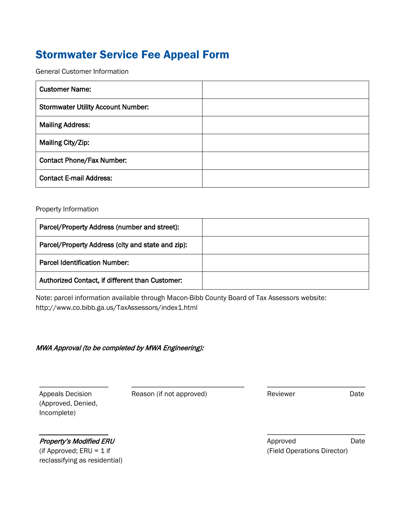## Stormwater Service Fee Appeal Form

General Customer Information

| <b>Customer Name:</b>                     |  |
|-------------------------------------------|--|
| <b>Stormwater Utility Account Number:</b> |  |
| <b>Mailing Address:</b>                   |  |
| Mailing City/Zip:                         |  |
| <b>Contact Phone/Fax Number:</b>          |  |
| <b>Contact E-mail Address:</b>            |  |

#### Property Information

| Parcel/Property Address (number and street):      |  |
|---------------------------------------------------|--|
| Parcel/Property Address (city and state and zip): |  |
| <b>Parcel Identification Number:</b>              |  |
| Authorized Contact, if different than Customer:   |  |

Note: parcel information available through Macon-Bibb County Board of Tax Assessors website: http://www.co.bibb.ga.us/TaxAssessors/index1.html

#### MWA Approval (to be completed by MWA Engineering):

| <b>Appeals Decision</b> |  |  |
|-------------------------|--|--|
| (Approved, Denied,      |  |  |
| Incomplete)             |  |  |

Reason (if not approved)

\_\_\_\_\_\_\_\_\_\_\_\_\_\_\_\_\_\_\_\_\_\_\_\_\_\_\_\_\_\_\_

Reviewer Date

Property's Modified ERU (if Approved;  $ERU = 1$  if reclassifying as residential)

\_\_\_\_\_\_\_\_\_\_\_\_\_\_\_\_\_\_\_

Approved Date (Field Operations Director)

\_\_\_\_\_\_\_\_\_\_\_\_\_\_\_\_\_\_\_\_\_\_\_\_\_\_\_

\_\_\_\_\_\_\_\_\_\_\_\_\_\_\_\_\_\_\_\_\_\_\_\_\_\_\_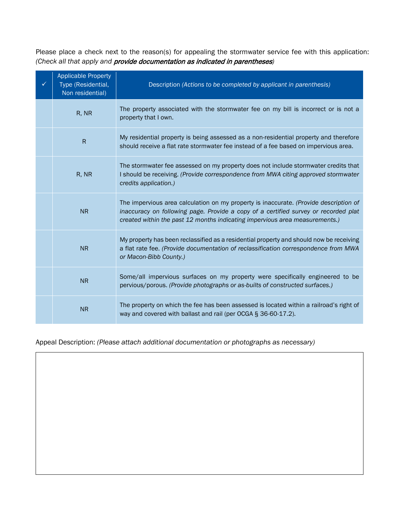Please place a check next to the reason(s) for appealing the stormwater service fee with this application: *(Check all that apply and* provide documentation as indicated in parentheses*)* 

| <b>Applicable Property</b><br>Type (Residential,<br>Non residential) | Description (Actions to be completed by applicant in parenthesis)                                                                                                                                                                                           |
|----------------------------------------------------------------------|-------------------------------------------------------------------------------------------------------------------------------------------------------------------------------------------------------------------------------------------------------------|
| R, NR                                                                | The property associated with the stormwater fee on my bill is incorrect or is not a<br>property that I own.                                                                                                                                                 |
| $\mathsf{R}$                                                         | My residential property is being assessed as a non-residential property and therefore<br>should receive a flat rate stormwater fee instead of a fee based on impervious area.                                                                               |
| R, NR                                                                | The stormwater fee assessed on my property does not include stormwater credits that<br>I should be receiving. (Provide correspondence from MWA citing approved stormwater<br>credits application.)                                                          |
| <b>NR</b>                                                            | The impervious area calculation on my property is inaccurate. (Provide description of<br>inaccuracy on following page. Provide a copy of a certified survey or recorded plat<br>created within the past 12 months indicating impervious area measurements.) |
| <b>NR</b>                                                            | My property has been reclassified as a residential property and should now be receiving<br>a flat rate fee. (Provide documentation of reclassification correspondence from MWA<br>or Macon-Bibb County.)                                                    |
| <b>NR</b>                                                            | Some/all impervious surfaces on my property were specifically engineered to be<br>pervious/porous. (Provide photographs or as-builts of constructed surfaces.)                                                                                              |
| <b>NR</b>                                                            | The property on which the fee has been assessed is located within a railroad's right of<br>way and covered with ballast and rail (per OCGA § 36-60-17.2).                                                                                                   |

Appeal Description: *(Please attach additional documentation or photographs as necessary)*